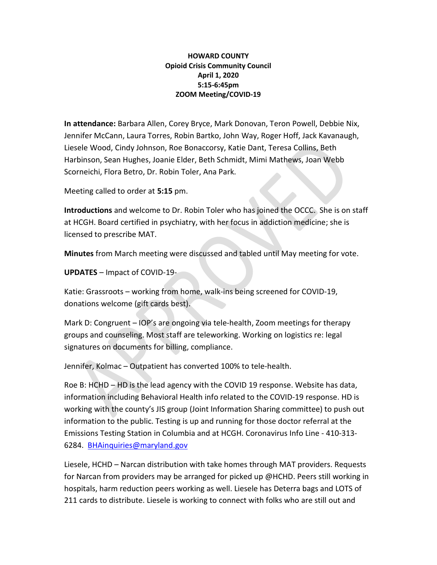## HOWARD COUNTY Opioid Crisis Community Council April 1, 2020 5:15-6:45pm ZOOM Meeting/COVID-19

In attendance: Barbara Allen, Corey Bryce, Mark Donovan, Teron Powell, Debbie Nix, Jennifer McCann, Laura Torres, Robin Bartko, John Way, Roger Hoff, Jack Kavanaugh, Liesele Wood, Cindy Johnson, Roe Bonaccorsy, Katie Dant, Teresa Collins, Beth Harbinson, Sean Hughes, Joanie Elder, Beth Schmidt, Mimi Mathews, Joan Webb Scorneichi, Flora Betro, Dr. Robin Toler, Ana Park.

Meeting called to order at 5:15 pm.

Introductions and welcome to Dr. Robin Toler who has joined the OCCC. She is on staff at HCGH. Board certified in psychiatry, with her focus in addiction medicine; she is licensed to prescribe MAT.

Minutes from March meeting were discussed and tabled until May meeting for vote.

UPDATES – Impact of COVID-19-

Katie: Grassroots – working from home, walk-ins being screened for COVID-19, donations welcome (gift cards best).

Mark D: Congruent – IOP's are ongoing via tele-health, Zoom meetings for therapy groups and counseling. Most staff are teleworking. Working on logistics re: legal signatures on documents for billing, compliance.

Jennifer, Kolmac – Outpatient has converted 100% to tele-health.

Roe B: HCHD – HD is the lead agency with the COVID 19 response. Website has data, information including Behavioral Health info related to the COVID-19 response. HD is working with the county's JIS group (Joint Information Sharing committee) to push out information to the public. Testing is up and running for those doctor referral at the Emissions Testing Station in Columbia and at HCGH. Coronavirus Info Line - 410-313- 6284. BHAinquiries@maryland.gov

Liesele, HCHD – Narcan distribution with take homes through MAT providers. Requests for Narcan from providers may be arranged for picked up @HCHD. Peers still working in hospitals, harm reduction peers working as well. Liesele has Deterra bags and LOTS of 211 cards to distribute. Liesele is working to connect with folks who are still out and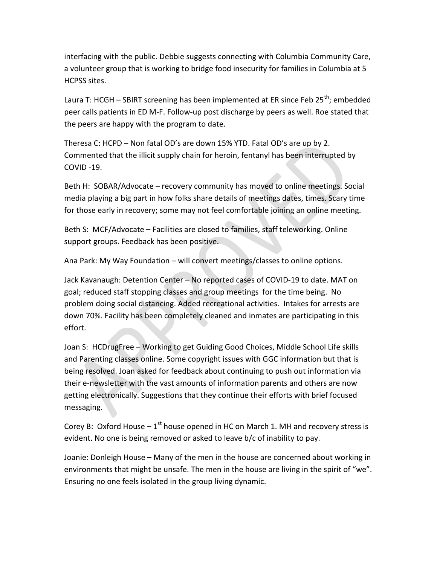interfacing with the public. Debbie suggests connecting with Columbia Community Care, a volunteer group that is working to bridge food insecurity for families in Columbia at 5 HCPSS sites.

Laura T: HCGH – SBIRT screening has been implemented at ER since Feb 25<sup>th</sup>; embedded peer calls patients in ED M-F. Follow-up post discharge by peers as well. Roe stated that the peers are happy with the program to date.

Theresa C: HCPD – Non fatal OD's are down 15% YTD. Fatal OD's are up by 2. Commented that the illicit supply chain for heroin, fentanyl has been interrupted by COVID -19.

Beth H: SOBAR/Advocate – recovery community has moved to online meetings. Social media playing a big part in how folks share details of meetings dates, times. Scary time for those early in recovery; some may not feel comfortable joining an online meeting.

Beth S: MCF/Advocate – Facilities are closed to families, staff teleworking. Online support groups. Feedback has been positive.

Ana Park: My Way Foundation – will convert meetings/classes to online options.

Jack Kavanaugh: Detention Center – No reported cases of COVID-19 to date. MAT on goal; reduced staff stopping classes and group meetings for the time being. No problem doing social distancing. Added recreational activities. Intakes for arrests are down 70%. Facility has been completely cleaned and inmates are participating in this effort.

Joan S: HCDrugFree – Working to get Guiding Good Choices, Middle School Life skills and Parenting classes online. Some copyright issues with GGC information but that is being resolved. Joan asked for feedback about continuing to push out information via their e-newsletter with the vast amounts of information parents and others are now getting electronically. Suggestions that they continue their efforts with brief focused messaging.

Corey B: Oxford House  $-1^{st}$  house opened in HC on March 1. MH and recovery stress is evident. No one is being removed or asked to leave b/c of inability to pay.

Joanie: Donleigh House – Many of the men in the house are concerned about working in environments that might be unsafe. The men in the house are living in the spirit of "we". Ensuring no one feels isolated in the group living dynamic.